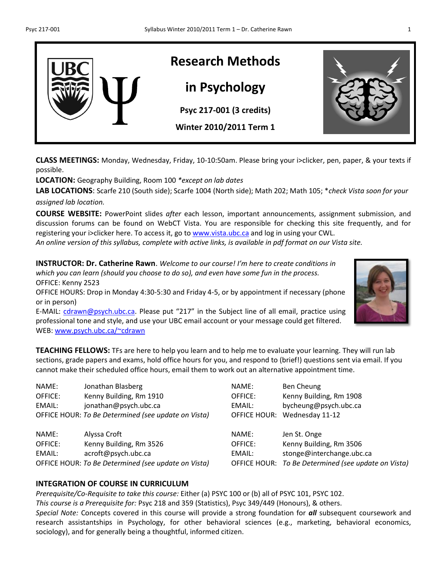

**CLASS MEETINGS:** Monday, Wednesday, Friday, 10-10:50am. Please bring your i>clicker, pen, paper, & your texts if possible.

**LOCATION:** Geography Building, Room 100 *\*except on lab dates*

**LAB LOCATIONS**: Scarfe 210 (South side); Scarfe 1004 (North side); Math 202; Math 105; \**check Vista soon for your assigned lab location.*

**COURSE WEBSITE:** PowerPoint slides *after* each lesson, important announcements, assignment submission, and discussion forums can be found on WebCT Vista. You are responsible for checking this site frequently, and for registering your i>clicker here. To access it, go to [www.vista.ubc.ca](http://www.vista.ubc.ca/) and log in using your CWL.

*An online version of this syllabus, complete with active links, is available in pdf format on our Vista site.*

**INSTRUCTOR: Dr. Catherine Rawn**. *Welcome to our course! I'm here to create conditions in which you can learn (should you choose to do so), and even have some fun in the process.*  OFFICE: Kenny 2523 OFFICE HOURS: Drop in Monday 4:30-5:30 and Friday 4-5, or by appointment if necessary (phone or in person)

E-MAIL: [cdrawn@psych.ubc.ca.](mailto:cdrawn@psych.ubc.ca) Please put "217" in the Subject line of all email, practice using professional tone and style, and use your UBC email account or your message could get filtered. WEB: [www.psych.ubc.ca/~cdrawn](http://www.psych.ubc.ca/~cdrawn)

**TEACHING FELLOWS:** TFs are here to help you learn and to help me to evaluate your learning. They will run lab sections, grade papers and exams, hold office hours for you, and respond to (brief!) questions sent via email. If you cannot make their scheduled office hours, email them to work out an alternative appointment time.

NAME: Jonathan Blasberg NAME: Ben Cheung OFFICE: Kenny Building, Rm 1910 OFFICE: Kenny Building, Rm 1908 EMAIL: jonathan@psych.ubc.ca EMAIL: bycheung@psych.ubc.ca OFFICE HOUR: *To Be Determined (see update on Vista)* OFFICE HOUR: Wednesday 11-12

NAME: Alyssa Croft NAME: Jen St. Onge OFFICE: Kenny Building, Rm 3526 OFFICE: Kenny Building, Rm 3506 EMAIL: acroft@psych.ubc.ca EMAIL: stonge@interchange.ubc.ca

### **INTEGRATION OF COURSE IN CURRICULUM**

*Prerequisite/Co-Requisite to take this course:* Either (a) PSYC 100 or (b) all of PSYC 101, PSYC 102. *This course is a Prerequisite for:* Psyc 218 and 359 (Statistics), Psyc 349/449 (Honours), & others. *Special Note:* Concepts covered in this course will provide a strong foundation for *all* subsequent coursework and research assistantships in Psychology, for other behavioral sciences (e.g., marketing, behavioral economics, sociology), and for generally being a thoughtful, informed citizen.





OFFICE HOUR: *To Be Determined (see update on Vista)* OFFICE HOUR: *To Be Determined (see update on Vista)*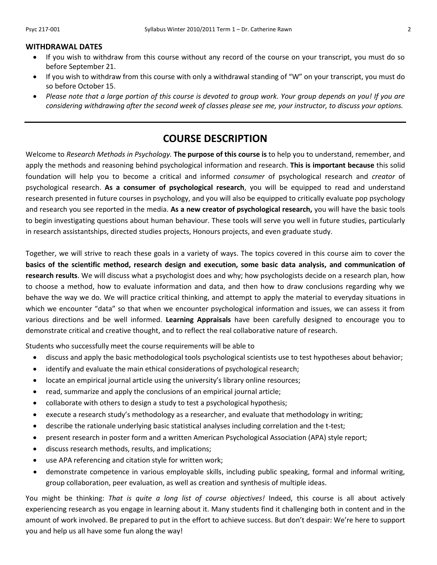- If you wish to withdraw from this course without any record of the course on your transcript, you must do so before September 21.
- If you wish to withdraw from this course with only a withdrawal standing of "W" on your transcript, you must do so before October 15.
- *Please note that a large portion of this course is devoted to group work. Your group depends on you! If you are considering withdrawing after the second week of classes please see me, your instructor, to discuss your options.*

## **COURSE DESCRIPTION**

Welcome to *Research Methods in Psychology.* **The purpose of this course is** to help you to understand, remember, and apply the methods and reasoning behind psychological information and research. **This is important because** this solid foundation will help you to become a critical and informed *consumer* of psychological research and *creator* of psychological research. **As a consumer of psychological research**, you will be equipped to read and understand research presented in future courses in psychology, and you will also be equipped to critically evaluate pop psychology and research you see reported in the media. **As a new creator of psychological research,** you will have the basic tools to begin investigating questions about human behaviour. These tools will serve you well in future studies, particularly in research assistantships, directed studies projects, Honours projects, and even graduate study.

Together, we will strive to reach these goals in a variety of ways. The topics covered in this course aim to cover the **basics of the scientific method, research design and execution, some basic data analysis, and communication of research results**. We will discuss what a psychologist does and why; how psychologists decide on a research plan, how to choose a method, how to evaluate information and data, and then how to draw conclusions regarding why we behave the way we do. We will practice critical thinking, and attempt to apply the material to everyday situations in which we encounter "data" so that when we encounter psychological information and issues, we can assess it from various directions and be well informed. **Learning Appraisals** have been carefully designed to encourage you to demonstrate critical and creative thought, and to reflect the real collaborative nature of research.

Students who successfully meet the course requirements will be able to

- discuss and apply the basic methodological tools psychological scientists use to test hypotheses about behavior;
- identify and evaluate the main ethical considerations of psychological research;
- locate an empirical journal article using the university's library online resources;
- read, summarize and apply the conclusions of an empirical journal article;
- collaborate with others to design a study to test a psychological hypothesis;
- execute a research study's methodology as a researcher, and evaluate that methodology in writing;
- describe the rationale underlying basic statistical analyses including correlation and the t-test;
- present research in poster form and a written American Psychological Association (APA) style report;
- discuss research methods, results, and implications;
- use APA referencing and citation style for written work;
- demonstrate competence in various employable skills, including public speaking, formal and informal writing, group collaboration, peer evaluation, as well as creation and synthesis of multiple ideas.

You might be thinking: *That is quite a long list of course objectives!* Indeed, this course is all about actively experiencing research as you engage in learning about it. Many students find it challenging both in content and in the amount of work involved. Be prepared to put in the effort to achieve success. But don't despair: We're here to support you and help us all have some fun along the way!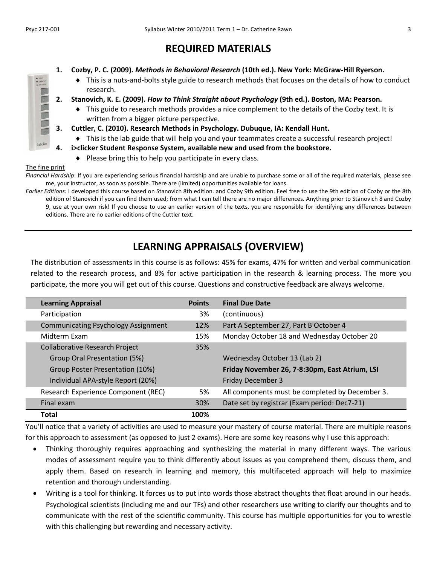## **REQUIRED MATERIALS**

- **1. Cozby, P. C. (2009).** *Methods in Behavioral Research* **(10th ed.). New York: McGraw-Hill Ryerson.**
	- This is a nuts-and-bolts style guide to research methods that focuses on the details of how to conduct research.
- **2. Stanovich, K. E. (2009).** *How to Think Straight about Psychology* **(9th ed.). Boston, MA: Pearson.**
	- This guide to research methods provides a nice complement to the details of the Cozby text. It is written from a bigger picture perspective.
- **3. Cuttler, C. (2010). Research Methods in Psychology. Dubuque, IA: Kendall Hunt.**
- This is the lab guide that will help you and your teammates create a successful research project!
- **4. i>clicker Student Response System, available new and used from the bookstore.**
	- $\bullet$  Please bring this to help you participate in every class.

#### The fine print

*Financial Hardship*: If you are experiencing serious financial hardship and are unable to purchase some or all of the required materials, please see me, your instructor, as soon as possible. There are (limited) opportunities available for loans.

*Earlier Editions:* I developed this course based on Stanovich 8th edition. and Cozby 9th edition. Feel free to use the 9th edition of Cozby or the 8th edition of Stanovich if you can find them used; from what I can tell there are no major differences. Anything prior to Stanovich 8 and Cozby 9, use at your own risk! If you choose to use an earlier version of the texts, you are responsible for identifying any differences between editions. There are no earlier editions of the Cuttler text.

## **LEARNING APPRAISALS (OVERVIEW)**

The distribution of assessments in this course is as follows: 45% for exams, 47% for written and verbal communication related to the research process, and 8% for active participation in the research & learning process. The more you participate, the more you will get out of this course. Questions and constructive feedback are always welcome.

| <b>Learning Appraisal</b>                  | <b>Points</b> | <b>Final Due Date</b>                           |
|--------------------------------------------|---------------|-------------------------------------------------|
| Participation                              | 3%            | (continuous)                                    |
| <b>Communicating Psychology Assignment</b> | 12%           | Part A September 27, Part B October 4           |
| Midterm Exam                               | 15%           | Monday October 18 and Wednesday October 20      |
| <b>Collaborative Research Project</b>      | 35%           |                                                 |
| Group Oral Presentation (5%)               |               | Wednesday October 13 (Lab 2)                    |
| Group Poster Presentation (10%)            |               | Friday November 26, 7-8:30pm, East Atrium, LSI  |
| Individual APA-style Report (20%)          |               | Friday December 3                               |
| Research Experience Component (REC)        | 5%            | All components must be completed by December 3. |
| Final exam                                 | 30%           | Date set by registrar (Exam period: Dec7-21)    |
| <b>Total</b>                               | 100%          |                                                 |

You'll notice that a variety of activities are used to measure your mastery of course material. There are multiple reasons for this approach to assessment (as opposed to just 2 exams). Here are some key reasons why I use this approach:

- Thinking thoroughly requires approaching and synthesizing the material in many different ways. The various modes of assessment require you to think differently about issues as you comprehend them, discuss them, and apply them. Based on research in learning and memory, this multifaceted approach will help to maximize retention and thorough understanding.
- Writing is a tool for thinking. It forces us to put into words those abstract thoughts that float around in our heads. Psychological scientists (including me and our TFs) and other researchers use writing to clarify our thoughts and to communicate with the rest of the scientific community. This course has multiple opportunities for you to wrestle with this challenging but rewarding and necessary activity.

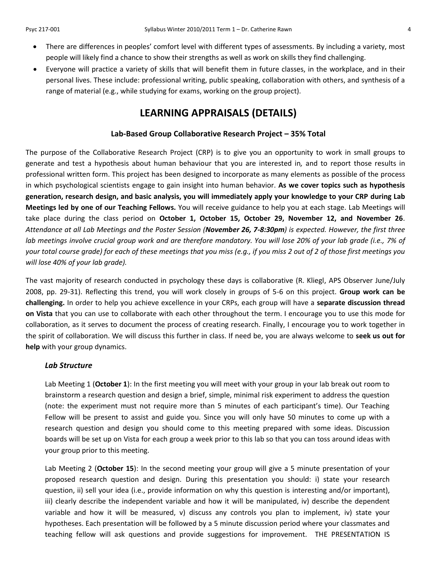- There are differences in peoples' comfort level with different types of assessments. By including a variety, most people will likely find a chance to show their strengths as well as work on skills they find challenging.
- Everyone will practice a variety of skills that will benefit them in future classes, in the workplace, and in their personal lives. These include: professional writing, public speaking, collaboration with others, and synthesis of a range of material (e.g., while studying for exams, working on the group project).

## **LEARNING APPRAISALS (DETAILS)**

### **Lab-Based Group Collaborative Research Project – 35% Total**

The purpose of the Collaborative Research Project (CRP) is to give you an opportunity to work in small groups to generate and test a hypothesis about human behaviour that you are interested in*,* and to report those results in professional written form. This project has been designed to incorporate as many elements as possible of the process in which psychological scientists engage to gain insight into human behavior. **As we cover topics such as hypothesis generation, research design, and basic analysis, you will immediately apply your knowledge to your CRP during Lab Meetings led by one of our Teaching Fellows.** You will receive guidance to help you at each stage. Lab Meetings will take place during the class period on **October 1, October 15, October 29, November 12, and November 26**. *Attendance at all Lab Meetings and the Poster Session (November 26, 7-8:30pm) is expected. However, the first three lab meetings involve crucial group work and are therefore mandatory. You will lose 20% of your lab grade (i.e., 7% of your total course grade) for each of these meetings that you miss (e.g., if you miss 2 out of 2 of those first meetings you will lose 40% of your lab grade).*

The vast majority of research conducted in psychology these days is collaborative (R. Kliegl, APS Observer June/July 2008, pp. 29-31). Reflecting this trend, you will work closely in groups of 5-6 on this project. **Group work can be challenging.** In order to help you achieve excellence in your CRPs, each group will have a **separate discussion thread on Vista** that you can use to collaborate with each other throughout the term. I encourage you to use this mode for collaboration, as it serves to document the process of creating research. Finally, I encourage you to work together in the spirit of collaboration. We will discuss this further in class. If need be, you are always welcome to **seek us out for help** with your group dynamics.

#### *Lab Structure*

Lab Meeting 1 (**October 1**): In the first meeting you will meet with your group in your lab break out room to brainstorm a research question and design a brief, simple, minimal risk experiment to address the question (note: the experiment must not require more than 5 minutes of each participant's time). Our Teaching Fellow will be present to assist and guide you. Since you will only have 50 minutes to come up with a research question and design you should come to this meeting prepared with some ideas. Discussion boards will be set up on Vista for each group a week prior to this lab so that you can toss around ideas with your group prior to this meeting.

Lab Meeting 2 (**October 15**): In the second meeting your group will give a 5 minute presentation of your proposed research question and design. During this presentation you should: i) state your research question, ii) sell your idea (i.e., provide information on why this question is interesting and/or important), iii) clearly describe the independent variable and how it will be manipulated, iv) describe the dependent variable and how it will be measured, v) discuss any controls you plan to implement, iv) state your hypotheses. Each presentation will be followed by a 5 minute discussion period where your classmates and teaching fellow will ask questions and provide suggestions for improvement. THE PRESENTATION IS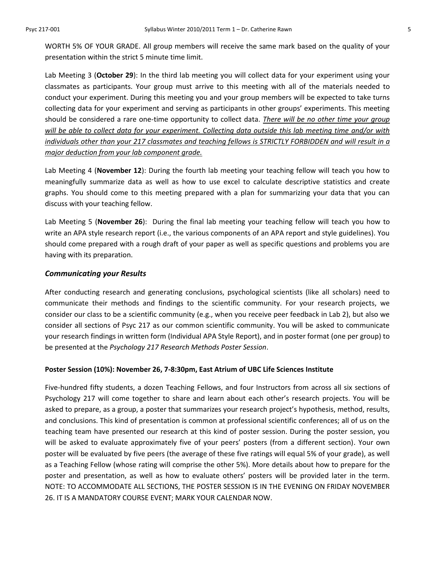WORTH 5% OF YOUR GRADE. All group members will receive the same mark based on the quality of your presentation within the strict 5 minute time limit.

Lab Meeting 3 (**October 29**): In the third lab meeting you will collect data for your experiment using your classmates as participants. Your group must arrive to this meeting with all of the materials needed to conduct your experiment. During this meeting you and your group members will be expected to take turns collecting data for your experiment and serving as participants in other groups' experiments. This meeting should be considered a rare one-time opportunity to collect data. *There will be no other time your group will be able to collect data for your experiment. Collecting data outside this lab meeting time and/or with individuals other than your 217 classmates and teaching fellows is STRICTLY FORBIDDEN and will result in a major deduction from your lab component grade.*

Lab Meeting 4 (**November 12**): During the fourth lab meeting your teaching fellow will teach you how to meaningfully summarize data as well as how to use excel to calculate descriptive statistics and create graphs. You should come to this meeting prepared with a plan for summarizing your data that you can discuss with your teaching fellow.

Lab Meeting 5 (**November 26**): During the final lab meeting your teaching fellow will teach you how to write an APA style research report (i.e., the various components of an APA report and style guidelines). You should come prepared with a rough draft of your paper as well as specific questions and problems you are having with its preparation.

#### *Communicating your Results*

After conducting research and generating conclusions, psychological scientists (like all scholars) need to communicate their methods and findings to the scientific community. For your research projects, we consider our class to be a scientific community (e.g., when you receive peer feedback in Lab 2), but also we consider all sections of Psyc 217 as our common scientific community. You will be asked to communicate your research findings in written form (Individual APA Style Report), and in poster format (one per group) to be presented at the *Psychology 217 Research Methods Poster Session*.

#### **Poster Session (10%): November 26, 7-8:30pm, East Atrium of UBC Life Sciences Institute**

Five-hundred fifty students, a dozen Teaching Fellows, and four Instructors from across all six sections of Psychology 217 will come together to share and learn about each other's research projects. You will be asked to prepare, as a group, a poster that summarizes your research project's hypothesis, method, results, and conclusions. This kind of presentation is common at professional scientific conferences; all of us on the teaching team have presented our research at this kind of poster session. During the poster session, you will be asked to evaluate approximately five of your peers' posters (from a different section). Your own poster will be evaluated by five peers (the average of these five ratings will equal 5% of your grade), as well as a Teaching Fellow (whose rating will comprise the other 5%). More details about how to prepare for the poster and presentation, as well as how to evaluate others' posters will be provided later in the term. NOTE: TO ACCOMMODATE ALL SECTIONS, THE POSTER SESSION IS IN THE EVENING ON FRIDAY NOVEMBER 26. IT IS A MANDATORY COURSE EVENT; MARK YOUR CALENDAR NOW.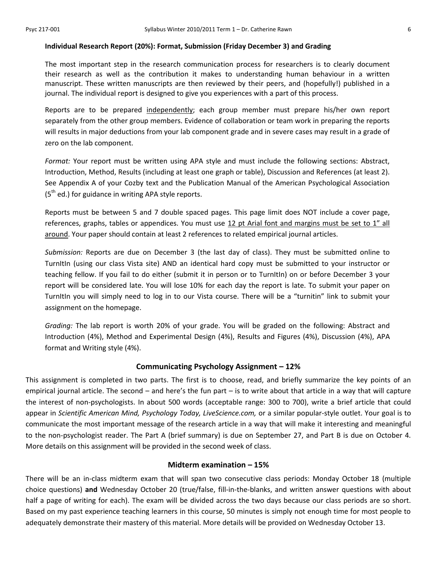#### **Individual Research Report (20%): Format, Submission (Friday December 3) and Grading**

The most important step in the research communication process for researchers is to clearly document their research as well as the contribution it makes to understanding human behaviour in a written manuscript. These written manuscripts are then reviewed by their peers, and (hopefully!) published in a journal. The individual report is designed to give you experiences with a part of this process.

Reports are to be prepared independently; each group member must prepare his/her own report separately from the other group members. Evidence of collaboration or team work in preparing the reports will results in major deductions from your lab component grade and in severe cases may result in a grade of zero on the lab component.

*Format:* Your report must be written using APA style and must include the following sections: Abstract, Introduction, Method, Results (including at least one graph or table), Discussion and References (at least 2). See Appendix A of your Cozby text and the Publication Manual of the American Psychological Association  $(5<sup>th</sup>$  ed.) for guidance in writing APA style reports.

Reports must be between 5 and 7 double spaced pages. This page limit does NOT include a cover page, references, graphs, tables or appendices. You must use  $12$  pt Arial font and margins must be set to  $1''$  all around. Your paper should contain at least 2 references to related empirical journal articles.

*Submission:* Reports are due on December 3 (the last day of class). They must be submitted online to TurnItIn (using our class Vista site) AND an identical hard copy must be submitted to your instructor or teaching fellow. If you fail to do either (submit it in person or to TurnItIn) on or before December 3 your report will be considered late. You will lose 10% for each day the report is late. To submit your paper on TurnItIn you will simply need to log in to our Vista course. There will be a "turnitin" link to submit your assignment on the homepage.

*Grading:* The lab report is worth 20% of your grade. You will be graded on the following: Abstract and Introduction (4%), Method and Experimental Design (4%), Results and Figures (4%), Discussion (4%), APA format and Writing style (4%).

#### **Communicating Psychology Assignment – 12%**

This assignment is completed in two parts. The first is to choose, read, and briefly summarize the key points of an empirical journal article. The second – and here's the fun part – is to write about that article in a way that will capture the interest of non-psychologists. In about 500 words (acceptable range: 300 to 700), write a brief article that could appear in *Scientific American Mind, Psychology Today, LiveScience.com,* or a similar popular-style outlet. Your goal is to communicate the most important message of the research article in a way that will make it interesting and meaningful to the non-psychologist reader. The Part A (brief summary) is due on September 27, and Part B is due on October 4. More details on this assignment will be provided in the second week of class.

#### **Midterm examination – 15%**

There will be an in-class midterm exam that will span two consecutive class periods: Monday October 18 (multiple choice questions) **and** Wednesday October 20 (true/false, fill-in-the-blanks, and written answer questions with about half a page of writing for each). The exam will be divided across the two days because our class periods are so short. Based on my past experience teaching learners in this course, 50 minutes is simply not enough time for most people to adequately demonstrate their mastery of this material. More details will be provided on Wednesday October 13.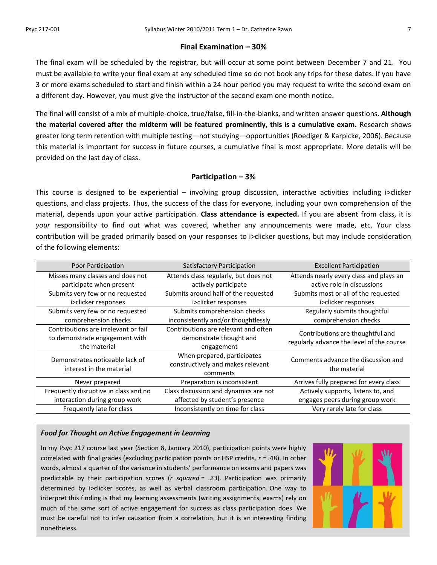#### **Final Examination – 30%**

The final exam will be scheduled by the registrar, but will occur at some point between December 7 and 21. You must be available to write your final exam at any scheduled time so do not book any trips for these dates. If you have 3 or more exams scheduled to start and finish within a 24 hour period you may request to write the second exam on a different day. However, you must give the instructor of the second exam one month notice.

The final will consist of a mix of multiple-choice, true/false, fill-in-the-blanks, and written answer questions. **Although the material covered after the midterm will be featured prominently, this is a cumulative exam.** Research shows greater long term retention with multiple testing—not studying—opportunities (Roediger & Karpicke, 2006). Because this material is important for success in future courses, a cumulative final is most appropriate. More details will be provided on the last day of class.

### **Participation – 3%**

This course is designed to be experiential – involving group discussion, interactive activities including i>clicker questions, and class projects. Thus, the success of the class for everyone, including your own comprehension of the material, depends upon your active participation. **Class attendance is expected.** If you are absent from class, it is *your* responsibility to find out what was covered, whether any announcements were made, etc. Your class contribution will be graded primarily based on your responses to i>clicker questions, but may include consideration of the following elements:

| Poor Participation                                                                     | <b>Satisfactory Participation</b>                                             | <b>Excellent Participation</b>                                                |  |
|----------------------------------------------------------------------------------------|-------------------------------------------------------------------------------|-------------------------------------------------------------------------------|--|
| Misses many classes and does not<br>participate when present                           | Attends class regularly, but does not<br>actively participate                 | Attends nearly every class and plays an<br>active role in discussions         |  |
| Submits very few or no requested<br>i>clicker responses                                | Submits around half of the requested<br>i>clicker responses                   | Submits most or all of the requested<br>i>clicker responses                   |  |
| Submits very few or no requested<br>comprehension checks                               | Submits comprehension checks<br>inconsistently and/or thoughtlessly           | Regularly submits thoughtful<br>comprehension checks                          |  |
| Contributions are irrelevant or fail<br>to demonstrate engagement with<br>the material | Contributions are relevant and often<br>demonstrate thought and<br>engagement | Contributions are thoughtful and<br>regularly advance the level of the course |  |
| Demonstrates noticeable lack of<br>interest in the material                            | When prepared, participates<br>constructively and makes relevant<br>comments  | Comments advance the discussion and<br>the material                           |  |
| Never prepared                                                                         | Preparation is inconsistent                                                   | Arrives fully prepared for every class                                        |  |
| Frequently disruptive in class and no                                                  | Class discussion and dynamics are not                                         | Actively supports, listens to, and                                            |  |
| interaction during group work<br>affected by student's presence                        |                                                                               | engages peers during group work                                               |  |
| Frequently late for class<br>Inconsistently on time for class                          |                                                                               | Very rarely late for class                                                    |  |

#### *Food for Thought on Active Engagement in Learning*

In my Psyc 217 course last year (Section 8, January 2010), participation points were highly correlated with final grades (excluding participation points or HSP credits, *r* = *.*48). In other words, almost a quarter of the variance in students' performance on exams and papers was predictable by their participation scores (*r squared* = *.23*). Participation was primarily determined by i>clicker scores, as well as verbal classroom participation. One way to interpret this finding is that my learning assessments (writing assignments, exams) rely on much of the same sort of active engagement for success as class participation does. We must be careful not to infer causation from a correlation, but it is an interesting finding nonetheless.

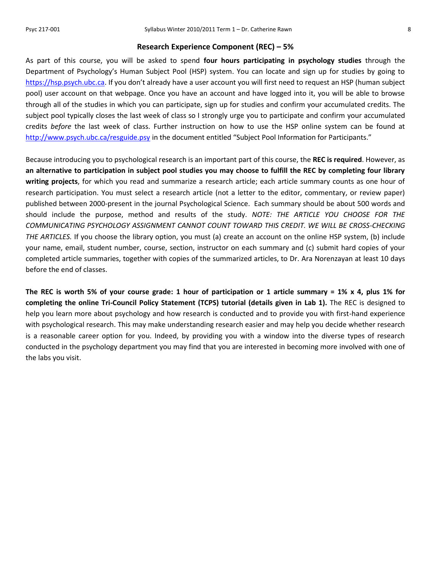#### **Research Experience Component (REC) – 5%**

As part of this course, you will be asked to spend **four hours participating in psychology studies** through the Department of Psychology's Human Subject Pool (HSP) system. You can locate and sign up for studies by going to [https://hsp.psych.ubc.ca](https://hsp.psych.ubc.ca/). If you don't already have a user account you will first need to request an HSP (human subject pool) user account on that webpage. Once you have an account and have logged into it, you will be able to browse through all of the studies in which you can participate, sign up for studies and confirm your accumulated credits. The subject pool typically closes the last week of class so I strongly urge you to participate and confirm your accumulated credits *before* the last week of class. Further instruction on how to use the HSP online system can be found at <http://www.psych.ubc.ca/resguide.psy> in the document entitled "Subject Pool Information for Participants."

Because introducing you to psychological research is an important part of this course, the **REC is required**. However, as **an alternative to participation in subject pool studies you may choose to fulfill the REC by completing four library writing projects**, for which you read and summarize a research article; each article summary counts as one hour of research participation. You must select a research article (not a letter to the editor, commentary, or review paper) published between 2000-present in the journal Psychological Science. Each summary should be about 500 words and should include the purpose, method and results of the study. *NOTE: THE ARTICLE YOU CHOOSE FOR THE COMMUNICATING PSYCHOLOGY ASSIGNMENT CANNOT COUNT TOWARD THIS CREDIT. WE WILL BE CROSS-CHECKING THE ARTICLES.* If you choose the library option, you must (a) create an account on the online HSP system, (b) include your name, email, student number, course, section, instructor on each summary and (c) submit hard copies of your completed article summaries, together with copies of the summarized articles, to Dr. Ara Norenzayan at least 10 days before the end of classes.

**The REC is worth 5% of your course grade: 1 hour of participation or 1 article summary = 1% x 4, plus 1% for completing the online Tri-Council Policy Statement (TCPS) tutorial (details given in Lab 1).** The REC is designed to help you learn more about psychology and how research is conducted and to provide you with first-hand experience with psychological research. This may make understanding research easier and may help you decide whether research is a reasonable career option for you. Indeed, by providing you with a window into the diverse types of research conducted in the psychology department you may find that you are interested in becoming more involved with one of the labs you visit.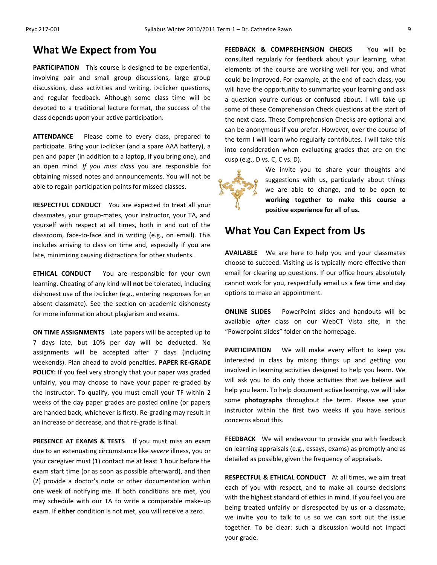## **What We Expect from You**

**PARTICIPATION** This course is designed to be experiential, involving pair and small group discussions, large group discussions, class activities and writing, i>clicker questions, and regular feedback. Although some class time will be devoted to a traditional lecture format, the success of the class depends upon your active participation.

**ATTENDANCE** Please come to every class, prepared to participate. Bring your i>clicker (and a spare AAA battery), a pen and paper (in addition to a laptop, if you bring one), and an open mind. *If you miss class* you are responsible for obtaining missed notes and announcements. You will not be able to regain participation points for missed classes.

**RESPECTFUL CONDUCT** You are expected to treat all your classmates, your group-mates, your instructor, your TA, and yourself with respect at all times, both in and out of the classroom, face-to-face and in writing (e.g., on email). This includes arriving to class on time and, especially if you are late, minimizing causing distractions for other students.

**ETHICAL CONDUCT** You are responsible for your own learning. Cheating of any kind will **not** be tolerated, including dishonest use of the i>clicker (e.g., entering responses for an absent classmate). See the section on academic dishonesty for more information about plagiarism and exams.

**ON TIME ASSIGNMENTS** Late papers will be accepted up to 7 days late, but 10% per day will be deducted. No assignments will be accepted after 7 days (including weekends). Plan ahead to avoid penalties. **PAPER RE-GRADE POLICY:** If you feel very strongly that your paper was graded unfairly, you may choose to have your paper re-graded by the instructor. To qualify, you must email your TF within 2 weeks of the day paper grades are posted online (or papers are handed back, whichever is first). Re-grading may result in an increase or decrease, and that re-grade is final.

**PRESENCE AT EXAMS & TESTS** If you must miss an exam due to an extenuating circumstance like *severe* illness, you or your caregiver must (1) contact me at least 1 hour before the exam start time (or as soon as possible afterward), and then (2) provide a doctor's note or other documentation within one week of notifying me. If both conditions are met, you may schedule with our TA to write a comparable make-up exam. If **either** condition is not met, you will receive a zero.

**FEEDBACK & COMPREHENSION CHECKS** You will be consulted regularly for feedback about your learning, what elements of the course are working well for you, and what could be improved. For example, at the end of each class, you will have the opportunity to summarize your learning and ask a question you're curious or confused about. I will take up some of these Comprehension Check questions at the start of the next class. These Comprehension Checks are optional and can be anonymous if you prefer. However, over the course of the term I will learn who regularly contributes. I will take this into consideration when evaluating grades that are on the cusp (e.g., D vs. C, C vs. D).



We invite you to share your thoughts and suggestions with us, particularly about things we are able to change, and to be open to **working together to make this course a positive experience for all of us.**

## **What You Can Expect from Us**

**AVAILABLE** We are here to help you and your classmates choose to succeed. Visiting us is typically more effective than email for clearing up questions. If our office hours absolutely cannot work for you, respectfully email us a few time and day options to make an appointment.

**ONLINE SLIDES** PowerPoint slides and handouts will be available *after* class on our WebCT Vista site, in the "Powerpoint slides" folder on the homepage.

**PARTICIPATION** We will make every effort to keep you interested in class by mixing things up and getting you involved in learning activities designed to help you learn. We will ask you to do only those activities that we believe will help you learn. To help document active learning, we will take some **photographs** throughout the term. Please see your instructor within the first two weeks if you have serious concerns about this.

**FEEDBACK** We will endeavour to provide you with feedback on learning appraisals (e.g., essays, exams) as promptly and as detailed as possible, given the frequency of appraisals.

**RESPECTFUL & ETHICAL CONDUCT** At all times, we aim treat each of you with respect, and to make all course decisions with the highest standard of ethics in mind. If you feel you are being treated unfairly or disrespected by us or a classmate, we invite you to talk to us so we can sort out the issue together. To be clear: such a discussion would not impact your grade.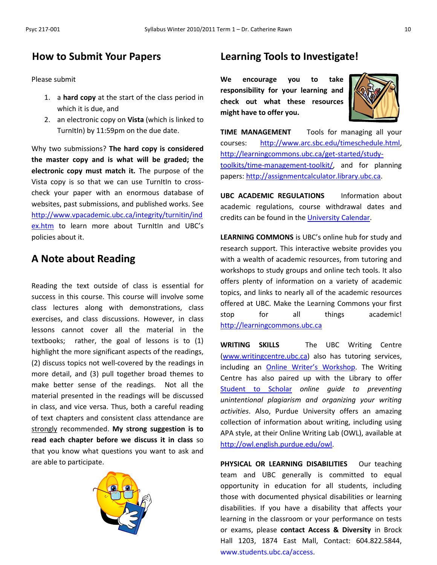## **How to Submit Your Papers**

Please submit

- 1. a **hard copy** at the start of the class period in which it is due, and
- 2. an electronic copy on **Vista** (which is linked to TurnItIn) by 11:59pm on the due date.

Why two submissions? **The hard copy is considered the master copy and is what will be graded; the electronic copy must match it.** The purpose of the Vista copy is so that we can use TurnItIn to crosscheck your paper with an enormous database of websites, past submissions, and published works. See [http://www.vpacademic.ubc.ca/integrity/turnitin/ind](http://www.vpacademic.ubc.ca/integrity/turnitin/index.htm) [ex.htm](http://www.vpacademic.ubc.ca/integrity/turnitin/index.htm) to learn more about Turnitin and UBC's policies about it.

## **A Note about Reading**

Reading the text outside of class is essential for success in this course. This course will involve some class lectures along with demonstrations, class exercises, and class discussions. However, in class lessons cannot cover all the material in the textbooks; rather, the goal of lessons is to (1) highlight the more significant aspects of the readings, (2) discuss topics not well-covered by the readings in more detail, and (3) pull together broad themes to make better sense of the readings. Not all the material presented in the readings will be discussed in class, and vice versa. Thus, both a careful reading of text chapters and consistent class attendance are strongly recommended. **My strong suggestion is to read each chapter before we discuss it in class** so that you know what questions you want to ask and are able to participate.



## **Learning Tools to Investigate!**

**We encourage you to take responsibility for your learning and check out what these resources might have to offer you.**



**TIME MANAGEMENT** Tools for managing all your courses: [http://www.arc.sbc.edu/timeschedule.html,](http://www.arc.sbc.edu/timeschedule.html) [http://learningcommons.ubc.ca/get-started/study](http://learningcommons.ubc.ca/get-started/study-toolkits/time-management-toolkit/)[toolkits/time-management-toolkit/,](http://learningcommons.ubc.ca/get-started/study-toolkits/time-management-toolkit/) and for planning papers: [http://assignmentcalculator.library.ubc.ca.](http://assignmentcalculator.library.ubc.ca/)

**UBC ACADEMIC REGULATIONS** Information about academic regulations, course withdrawal dates and credits can be found in the [University Calendar.](http://students.ubc.ca/calendar/academicyear.cfm)

**LEARNING COMMONS** is UBC's online hub for study and research support. This interactive website provides you with a wealth of academic resources, from tutoring and workshops to study groups and online tech tools. It also offers plenty of information on a variety of academic topics, and links to nearly all of the academic resources offered at UBC. Make the Learning Commons your first stop for all things academic! [http://learningcommons.ubc.ca](http://learningcommons.ubc.ca/)

**WRITING SKILLS** The UBC Writing Centre [\(www.writingcentre.ubc.ca\)](http://www.writingcentre.ubc.ca/) also has tutoring services, including an [Online Writer's Workshop](http://www.writingcentre.ubc.ca/workshop/index.html). The Writing Centre has also paired up with the Library to offer [Student to Scholar](http://www.library.ubc.ca/hss/instruction/sts/Whole_page.htm) *online guide to preventing unintentional plagiarism and organizing your writing activities*. Also, Purdue University offers an amazing collection of information about writing, including using APA style, at their Online Writing Lab (OWL), available at [http://owl.english.purdue.edu/owl.](http://owl.english.purdue.edu/owl/)

**PHYSICAL OR LEARNING DISABILITIES** Our teaching team and UBC generally is committed to equal opportunity in education for all students, including those with documented physical disabilities or learning disabilities. If you have a disability that affects your learning in the classroom or your performance on tests or exams, please **contact Access & Diversity** in Brock Hall 1203, 1874 East Mall, Contact: 604.822.5844, [www.students.ubc.ca/access.](http://www.students.ubc.ca/access)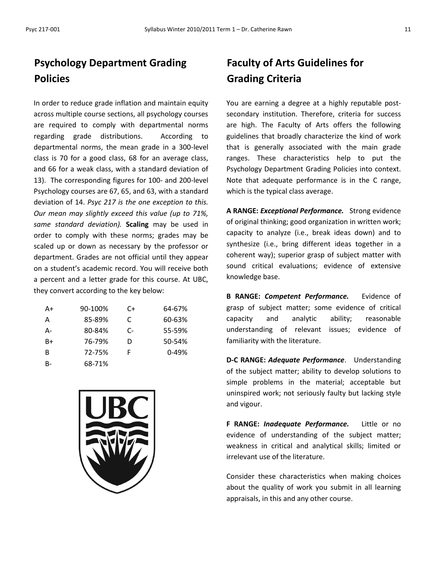# **Psychology Department Grading Policies**

In order to reduce grade inflation and maintain equity across multiple course sections, all psychology courses are required to comply with departmental norms regarding grade distributions. According to departmental norms, the mean grade in a 300-level class is 70 for a good class, 68 for an average class, and 66 for a weak class, with a standard deviation of 13). The corresponding figures for 100- and 200-level Psychology courses are 67, 65, and 63, with a standard deviation of 14. *Psyc 217 is the one exception to this. Our mean may slightly exceed this value (up to 71%, same standard deviation).* **Scaling** may be used in order to comply with these norms; grades may be scaled up or down as necessary by the professor or department. Grades are not official until they appear on a student's academic record. You will receive both a percent and a letter grade for this course. At UBC, they convert according to the key below:

| A+ | 90-100% | C+ | 64-67%    |
|----|---------|----|-----------|
| А  | 85-89%  | C  | 60-63%    |
| А- | 80-84%  | C- | 55-59%    |
| B+ | 76-79%  | D  | 50-54%    |
| в  | 72-75%  | F  | $0 - 49%$ |
| B- | 68-71%  |    |           |



# **Faculty of Arts Guidelines for Grading Criteria**

You are earning a degree at a highly reputable postsecondary institution. Therefore, criteria for success are high. The Faculty of Arts offers the following guidelines that broadly characterize the kind of work that is generally associated with the main grade ranges. These characteristics help to put the Psychology Department Grading Policies into context. Note that adequate performance is in the C range, which is the typical class average.

**A RANGE:** *Exceptional Performance.* Strong evidence of original thinking; good organization in written work; capacity to analyze (i.e., break ideas down) and to synthesize (i.e., bring different ideas together in a coherent way); superior grasp of subject matter with sound critical evaluations; evidence of extensive knowledge base.

**B RANGE:** *Competent Performance.* Evidence of grasp of subject matter; some evidence of critical capacity and analytic ability; reasonable understanding of relevant issues; evidence of familiarity with the literature.

**D-C RANGE:** *Adequate Performance*. Understanding of the subject matter; ability to develop solutions to simple problems in the material; acceptable but uninspired work; not seriously faulty but lacking style and vigour.

**F RANGE:** *Inadequate Performance.* Little or no evidence of understanding of the subject matter; weakness in critical and analytical skills; limited or irrelevant use of the literature.

Consider these characteristics when making choices about the quality of work you submit in all learning appraisals, in this and any other course.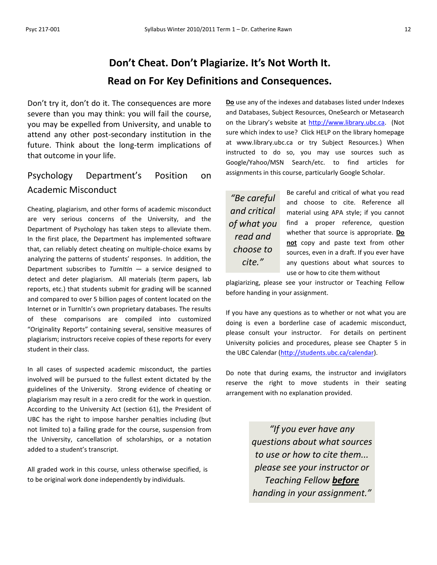# **Don't Cheat. Don't Plagiarize. It's Not Worth It. Read on For Key Definitions and Consequences.**

Don't try it, don't do it. The consequences are more severe than you may think: you will fail the course, you may be expelled from University, and unable to attend any other post-secondary institution in the future. Think about the long-term implications of that outcome in your life.

## Psychology Department's Position on Academic Misconduct

Cheating, plagiarism, and other forms of academic misconduct are very serious concerns of the University, and the Department of Psychology has taken steps to alleviate them. In the first place, the Department has implemented software that, can reliably detect cheating on multiple-choice exams by analyzing the patterns of students' responses. In addition, the Department subscribes to *TurnItIn* — a service designed to detect and deter plagiarism. All materials (term papers, lab reports, etc.) that students submit for grading will be scanned and compared to over 5 billion pages of content located on the Internet or in TurnItIn's own proprietary databases. The results of these comparisons are compiled into customized "Originality Reports" containing several, sensitive measures of plagiarism; instructors receive copies of these reports for every student in their class.

In all cases of suspected academic misconduct, the parties involved will be pursued to the fullest extent dictated by the guidelines of the University. Strong evidence of cheating or plagiarism may result in a zero credit for the work in question. According to the University Act (section 61), the President of UBC has the right to impose harsher penalties including (but not limited to) a failing grade for the course, suspension from the University, cancellation of scholarships, or a notation added to a student's transcript.

All graded work in this course, unless otherwise specified, is to be original work done independently by individuals.

**Do** use any of the indexes and databases listed under Indexes and Databases, Subject Resources, OneSearch or Metasearch on the Library's website at [http://www.library.ubc.ca.](http://www.library.ubc.ca/) (Not sure which index to use? Click HELP on the library homepage at www.library.ubc.ca or try Subject Resources.) When instructed to do so, you may use sources such as Google/Yahoo/MSN Search/etc. to find articles for assignments in this course, particularly Google Scholar.

*"Be careful and critical of what you read and choose to cite."*

Be careful and critical of what you read and choose to cite. Reference all material using APA style; if you cannot find a proper reference, question whether that source is appropriate. **Do not** copy and paste text from other sources, even in a draft. If you ever have any questions about what sources to use or how to cite them without

plagiarizing, please see your instructor or Teaching Fellow before handing in your assignment.

If you have any questions as to whether or not what you are doing is even a borderline case of academic misconduct, please consult your instructor. For details on pertinent University policies and procedures, please see Chapter 5 in the UBC Calendar [\(http://students.ubc.ca/calendar\)](http://students.ubc.ca/calendar).

Do note that during exams, the instructor and invigilators reserve the right to move students in their seating arrangement with no explanation provided.

> *"If you ever have any questions about what sources to use or how to cite them... please see your instructor or Teaching Fellow before handing in your assignment."*